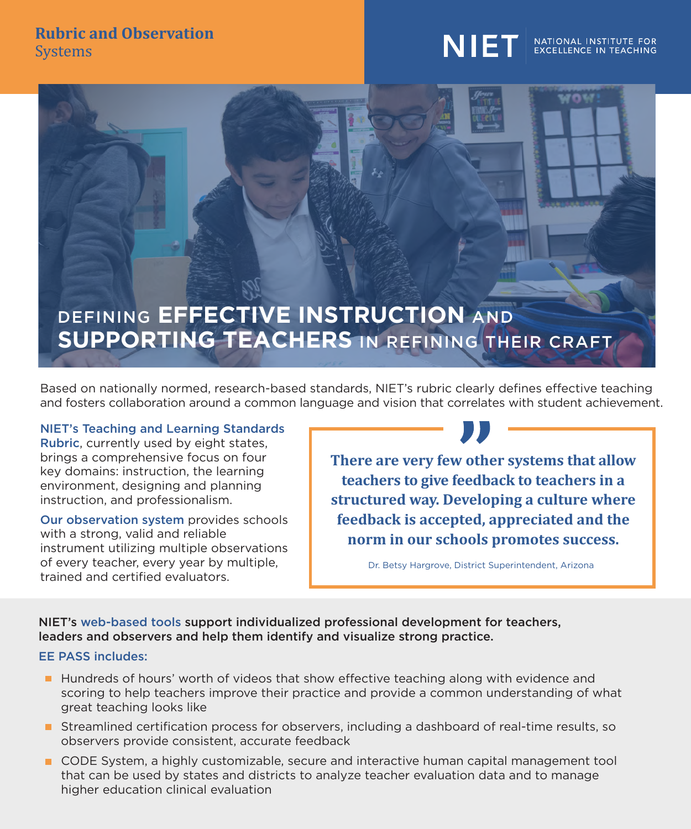#### **Rubric and Observation Systems**

# **NIET**

# NATIONAL INSTITUTE FOR<br>EXCELLENCE IN TEACHING



Based on nationally normed, research-based standards, NIET's rubric clearly defines effective teaching and fosters collaboration around a common language and vision that correlates with student achievement.

NIET's Teaching and Learning Standards Rubric, currently used by eight states, brings a comprehensive focus on four key domains: instruction, the learning environment, designing and planning instruction, and professionalism.

Our observation system provides schools with a strong, valid and reliable instrument utilizing multiple observations of every teacher, every year by multiple, trained and certified evaluators.



Dr. Betsy Hargrove, District Superintendent, Arizona

NIET's web-based tools support individualized professional development for teachers, leaders and observers and help them identify and visualize strong practice.

#### EE PASS includes:

- **Hundreds of hours' worth of videos that show effective teaching along with evidence and** scoring to help teachers improve their practice and provide a common understanding of what great teaching looks like
- **Streamlined certification process for observers, including a dashboard of real-time results, so** observers provide consistent, accurate feedback
- CODE System, a highly customizable, secure and interactive human capital management tool that can be used by states and districts to analyze teacher evaluation data and to manage higher education clinical evaluation